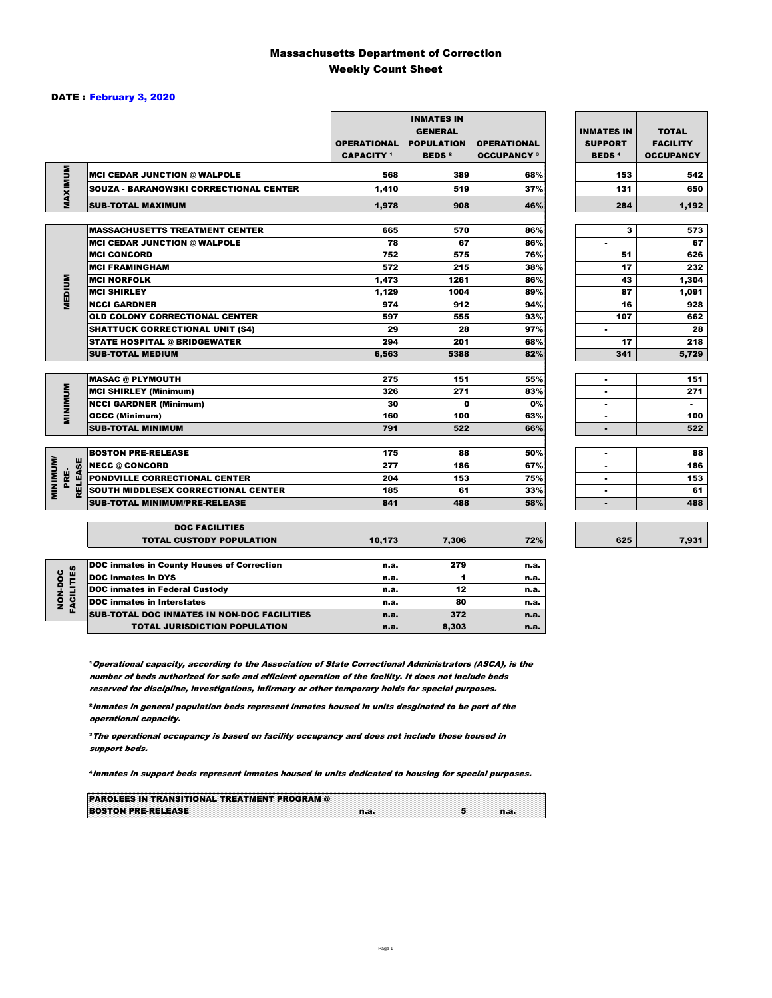### Massachusetts Department of Correction Weekly Count Sheet

### DATE : February 3, 2020

|                                   |                                                   | <b>OPERATIONAL</b><br><b>CAPACITY 1</b> | <b>INMATES IN</b><br><b>GENERAL</b><br><b>POPULATION</b><br><b>BEDS<sup>2</sup></b> | <b>OPERATIONAL</b><br><b>OCCUPANCY 3</b> | <b>INMATES IN</b><br><b>SUPPORT</b><br><b>BEDS<sup>4</sup></b> | <b>TOTAL</b><br><b>FACILITY</b><br><b>OCCUPANCY</b> |
|-----------------------------------|---------------------------------------------------|-----------------------------------------|-------------------------------------------------------------------------------------|------------------------------------------|----------------------------------------------------------------|-----------------------------------------------------|
|                                   | <b>MCI CEDAR JUNCTION @ WALPOLE</b>               | 568                                     | 389                                                                                 | 68%                                      | 153                                                            | 542                                                 |
|                                   | <b>SOUZA - BARANOWSKI CORRECTIONAL CENTER</b>     | 1,410                                   | 519                                                                                 | 37%                                      | 131                                                            | 650                                                 |
| MAXIMUM                           | <b>SUB-TOTAL MAXIMUM</b>                          | 1,978                                   | 908                                                                                 | 46%                                      | 284                                                            | 1,192                                               |
|                                   |                                                   |                                         |                                                                                     |                                          |                                                                |                                                     |
|                                   | <b>MASSACHUSETTS TREATMENT CENTER</b>             | 665                                     | 570                                                                                 | 86%                                      | 3                                                              | 573                                                 |
|                                   | <b>MCI CEDAR JUNCTION @ WALPOLE</b>               | 78                                      | 67                                                                                  | 86%                                      | ٠                                                              | 67                                                  |
|                                   | <b>MCI CONCORD</b>                                | 752                                     | 575                                                                                 | 76%                                      | 51                                                             | 626                                                 |
|                                   | <b>MCI FRAMINGHAM</b>                             | 572                                     | 215                                                                                 | 38%                                      | 17                                                             | 232                                                 |
|                                   | <b>MCI NORFOLK</b>                                | 1,473                                   | 1261                                                                                | 86%                                      | 43                                                             | 1,304                                               |
| <b>MEDIUM</b>                     | <b>MCI SHIRLEY</b>                                | 1,129                                   | 1004                                                                                | 89%                                      | 87                                                             | 1,091                                               |
|                                   | <b>NCCI GARDNER</b>                               | 974                                     | 912                                                                                 | 94%                                      | 16                                                             | 928                                                 |
|                                   | <b>OLD COLONY CORRECTIONAL CENTER</b>             | 597                                     | 555                                                                                 | 93%                                      | 107                                                            | 662                                                 |
|                                   | <b>SHATTUCK CORRECTIONAL UNIT (S4)</b>            | 29                                      | 28                                                                                  | 97%                                      | $\overline{\phantom{a}}$                                       | 28                                                  |
|                                   | <b>STATE HOSPITAL @ BRIDGEWATER</b>               | 294                                     | 201                                                                                 | 68%                                      | 17                                                             | 218                                                 |
|                                   | <b>SUB-TOTAL MEDIUM</b>                           | 6,563                                   | 5388                                                                                | 82%                                      | 341                                                            | 5,729                                               |
|                                   | <b>MASAC @ PLYMOUTH</b>                           | 275                                     | 151                                                                                 | 55%                                      |                                                                | 151                                                 |
|                                   | <b>MCI SHIRLEY (Minimum)</b>                      | 326                                     | 271                                                                                 | 83%                                      |                                                                | 271                                                 |
| <b>MINIMUM</b>                    | <b>NCCI GARDNER (Minimum)</b>                     | 30                                      | $\mathbf 0$                                                                         | 0%                                       | ٠                                                              | $\sim$                                              |
|                                   | <b>OCCC (Minimum)</b>                             | 160                                     | 100                                                                                 | 63%                                      | ٠                                                              | 100                                                 |
|                                   | <b>SUB-TOTAL MINIMUM</b>                          | 791                                     | 522                                                                                 | 66%                                      | $\blacksquare$                                                 | 522                                                 |
|                                   |                                                   |                                         |                                                                                     |                                          |                                                                |                                                     |
|                                   | <b>BOSTON PRE-RELEASE</b>                         | 175                                     | 88                                                                                  | 50%                                      | $\blacksquare$                                                 | 88                                                  |
| <b>MINIMINI</b><br><b>RELEASE</b> | <b>NECC @ CONCORD</b>                             | 277                                     | 186                                                                                 | 67%                                      |                                                                | 186                                                 |
| PRE-                              | PONDVILLE CORRECTIONAL CENTER                     | 204                                     | 153                                                                                 | 75%                                      | ٠                                                              | 153                                                 |
|                                   | SOUTH MIDDLESEX CORRECTIONAL CENTER               | 185                                     | 61                                                                                  | 33%                                      | ٠                                                              | 61                                                  |
|                                   | <b>SUB-TOTAL MINIMUM/PRE-RELEASE</b>              | 841                                     | 488                                                                                 | 58%                                      | $\blacksquare$                                                 | 488                                                 |
|                                   | <b>DOC FACILITIES</b>                             |                                         |                                                                                     |                                          |                                                                |                                                     |
|                                   | <b>TOTAL CUSTODY POPULATION</b>                   | 10,173                                  | 7,306                                                                               | 72%                                      | 625                                                            | 7,931                                               |
|                                   | <b>DOC inmates in County Houses of Correction</b> | n.a.                                    | 279                                                                                 | n.a.                                     |                                                                |                                                     |
| <b>FACILITIES</b><br>NON-DOC      | <b>DOC inmates in DYS</b>                         | n.a.                                    | 1                                                                                   | n.a.                                     |                                                                |                                                     |
|                                   | <b>DOC inmates in Federal Custody</b>             | n.a.                                    | 12                                                                                  | n.a.                                     |                                                                |                                                     |
|                                   | <b>DOC</b> inmates in Interstates                 | n.a.                                    | 80                                                                                  | n.a.                                     |                                                                |                                                     |
|                                   | CUR TOTAL BOO INIMETED IN NON-BOO FACULTIED       |                                         | 272                                                                                 |                                          |                                                                |                                                     |

**Operational capacity, according to the Association of State Correctional Administrators (ASCA), is the** number of beds authorized for safe and efficient operation of the facility. It does not include beds reserved for discipline, investigations, infirmary or other temporary holds for special purposes.

**DOC inmates in Interstates and Executive Contract Contract Contract Contract Contract Contract Contract Contract Contract Contract Contract Contract Contract Contract Contract Contract Contract Contract Contract Contract** SUB-TOTAL DOC INMATES IN NON-DOC FACILITIES n.a. 372 n.a. TOTAL JURISDICTION POPULATION **n.a.** 8,303 n.a.

²Inmates in general population beds represent inmates housed in units desginated to be part of the operational capacity.

³The operational occupancy is based on facility occupancy and does not include those housed in support beds.

⁴Inmates in support beds represent inmates housed in units dedicated to housing for special purposes.

| <b>PAROLEES IN TRANSITIONAL TREATMENT PROGRAM @</b> |  |  |
|-----------------------------------------------------|--|--|
| <b>BOSTON PRE-RELEASE</b>                           |  |  |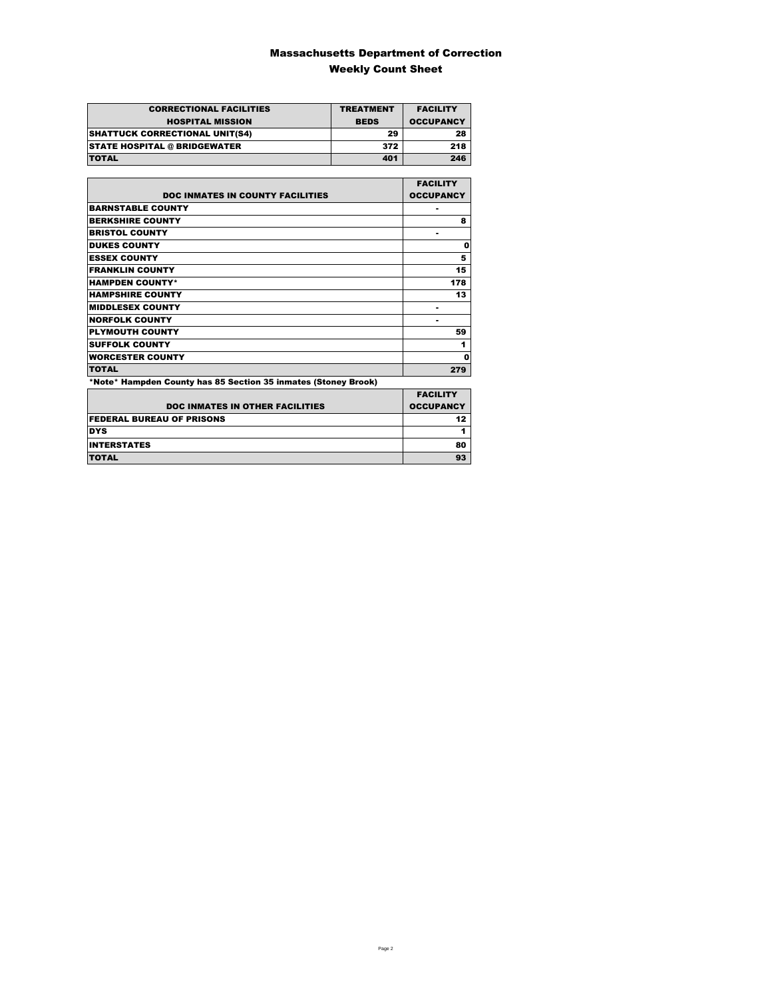### Massachusetts Department of Correction Weekly Count Sheet

| <b>CORRECTIONAL FACILITIES</b>        | <b>TREATMENT</b> | <b>FACILITY</b>  |
|---------------------------------------|------------------|------------------|
| <b>HOSPITAL MISSION</b>               | <b>BEDS</b>      | <b>OCCUPANCY</b> |
| <b>SHATTUCK CORRECTIONAL UNIT(S4)</b> | 29               | 28               |
| <b>STATE HOSPITAL @ BRIDGEWATER</b>   | 372              | 218              |
| <b>TOTAL</b>                          | 401              | 246              |

|                                                                | <b>FACILITY</b>  |
|----------------------------------------------------------------|------------------|
| <b>DOC INMATES IN COUNTY FACILITIES</b>                        | <b>OCCUPANCY</b> |
| <b>BARNSTABLE COUNTY</b>                                       |                  |
| <b>BERKSHIRE COUNTY</b>                                        | 8                |
| <b>BRISTOL COUNTY</b>                                          | ۰                |
| <b>DUKES COUNTY</b>                                            | 0                |
| <b>ESSEX COUNTY</b>                                            | 5                |
| <b>FRANKLIN COUNTY</b>                                         | 15               |
| <b>HAMPDEN COUNTY*</b>                                         | 178              |
| <b>HAMPSHIRE COUNTY</b>                                        | 13               |
| <b>MIDDLESEX COUNTY</b>                                        |                  |
| <b>NORFOLK COUNTY</b>                                          | ۰                |
| <b>PLYMOUTH COUNTY</b>                                         | 59               |
| <b>SUFFOLK COUNTY</b>                                          | 1                |
| <b>WORCESTER COUNTY</b>                                        | 0                |
| <b>TOTAL</b>                                                   | 279              |
| *Note* Hampden County has 85 Section 35 inmates (Stoney Brook) |                  |

|                                        | <b>FACILITY</b>  |
|----------------------------------------|------------------|
| <b>DOC INMATES IN OTHER FACILITIES</b> | <b>OCCUPANCY</b> |
| <b>FEDERAL BUREAU OF PRISONS</b>       | 12 <sub>2</sub>  |
| <b>DYS</b>                             |                  |
| <b>INTERSTATES</b>                     | 80               |
| <b>TOTAL</b>                           | 93               |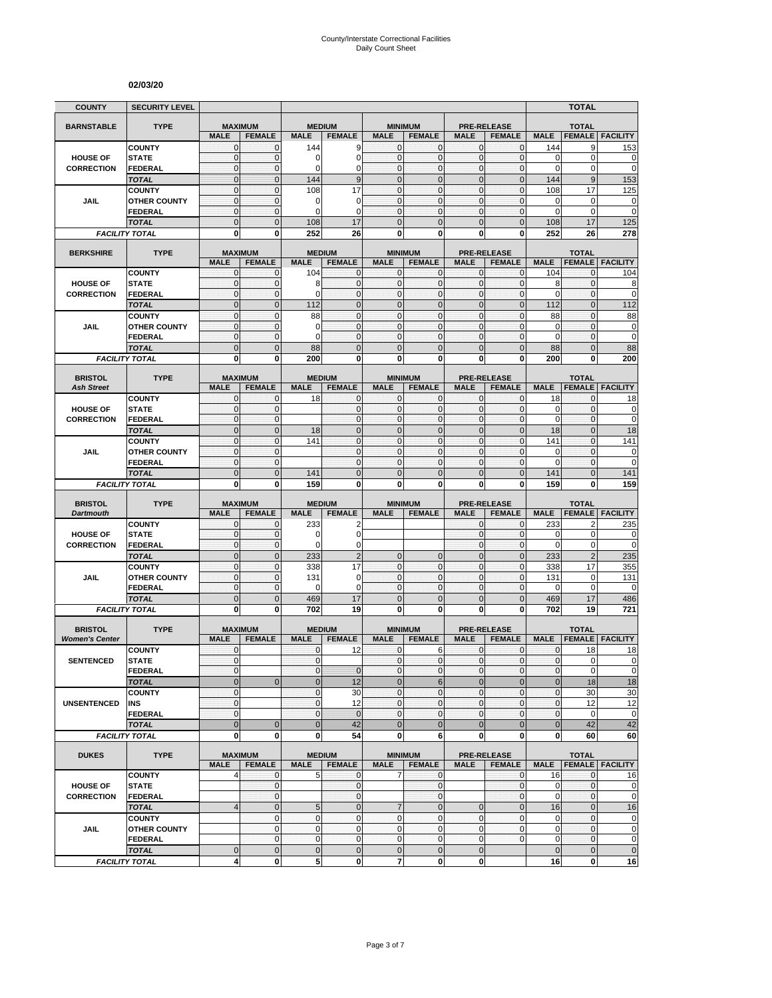#### **02/03/20**

| <b>COUNTY</b>                       | <b>SECURITY LEVEL</b>                 |                              |                                 |                              |                            |                                |                                 |                              |                                     |                                | <b>TOTAL</b>                  |                                                                                                                                                                                             |
|-------------------------------------|---------------------------------------|------------------------------|---------------------------------|------------------------------|----------------------------|--------------------------------|---------------------------------|------------------------------|-------------------------------------|--------------------------------|-------------------------------|---------------------------------------------------------------------------------------------------------------------------------------------------------------------------------------------|
| <b>BARNSTABLE</b>                   | <b>TYPE</b>                           | <b>MAXIMUM</b>               |                                 | <b>MEDIUM</b>                |                            |                                | <b>MINIMUM</b>                  |                              | <b>PRE-RELEASE</b>                  |                                | <b>TOTAL</b>                  |                                                                                                                                                                                             |
|                                     |                                       | <b>MALE</b>                  | <b>FEMALE</b>                   | <b>MALE</b>                  | <b>FEMALE</b>              | <b>MALE</b>                    | <b>FEMALE</b>                   | <b>MALE</b>                  | <b>FEMALE</b>                       | <b>MALE</b>                    | <b>FEMALE</b>                 | <b>FACILITY</b>                                                                                                                                                                             |
|                                     | <b>COUNTY</b>                         | $\mathbf{0}$                 | $\mathbf{0}$                    | 144                          | 9                          | $\mathbf{0}$                   | $\mathbf 0$                     | $\mathbf{0}$                 | $\mathbf{0}$                        | 144                            | 9                             | 153                                                                                                                                                                                         |
| <b>HOUSE OF</b>                     | <b>STATE</b>                          | $\mathbf 0$                  | $\mathbf{0}$                    | 0                            | $\mathbf 0$                | $\mathbf{0}$                   | $\mathbf 0$                     | $\mathbf{0}$                 | $\mathbf 0$                         | 0                              | $\mathbf 0$                   | 0                                                                                                                                                                                           |
| <b>CORRECTION</b>                   | <b>FEDERAL</b>                        | $\mathbf 0$                  | $\mathbf{0}$                    | $\Omega$                     | $\overline{0}$<br>9        | $\mathbf{0}$<br>$\overline{0}$ | $\mathbf 0$<br>$\mathbf 0$      | $\mathbf{0}$                 | $\mathbf 0$                         | 0                              | $\mathbf 0$                   | $\mathbf 0$                                                                                                                                                                                 |
|                                     | <b>TOTAL</b><br><b>COUNTY</b>         | $\mathbf 0$<br>$\mathbf 0$   | $\mathbf 0$<br>$\mathbf{0}$     | 144<br>108                   | 17                         | $\mathbf{0}$                   | $\mathbf{0}$                    | $\mathbf 0$<br>$\mathbf{0}$  | $\mathbf 0$<br>$\mathbf 0$          | 144<br>108                     | $9\,$<br>17                   | 153<br>125                                                                                                                                                                                  |
| JAIL                                | <b>OTHER COUNTY</b>                   | $\mathbf{0}$                 | $\mathbf{0}$                    | 0                            | 0                          | $\mathbf{0}$                   | $\mathbf{0}$                    | $\mathbf{0}$                 | $\mathbf 0$                         | 0                              | $\mathbf 0$                   | 0                                                                                                                                                                                           |
|                                     | <b>FEDERAL</b>                        | $\mathbf{0}$                 | $\mathbf 0$                     | $\mathbf 0$                  | $\mathbf 0$                | $\mathbf 0$                    | $\mathbf{0}$                    | $\mathbf 0$                  | 0                                   | 0                              | $\mathbf 0$                   | $\overline{0}$                                                                                                                                                                              |
|                                     | <b>TOTAL</b>                          | $\overline{0}$               | $\overline{0}$                  | 108                          | 17                         | $\Omega$                       | $\Omega$                        | $\mathbf{0}$                 | $\overline{0}$                      | 108                            | 17                            | 125                                                                                                                                                                                         |
|                                     | <b>FACILITY TOTAL</b>                 | $\mathbf 0$                  | $\mathbf{0}$                    | 252                          | 26                         | 0                              | 0                               | $\bf{0}$                     | 0                                   | 252                            | 26                            | 278                                                                                                                                                                                         |
| <b>BERKSHIRE</b>                    | <b>TYPE</b>                           |                              | <b>MAXIMUM</b>                  | <b>MEDIUM</b>                |                            |                                | <b>MINIMUM</b>                  |                              | <b>PRE-RELEASE</b>                  |                                | <b>TOTAL</b>                  |                                                                                                                                                                                             |
|                                     |                                       | <b>MALE</b>                  | <b>FEMALE</b>                   | <b>MALE</b>                  | <b>FEMALE</b>              | <b>MALE</b>                    | <b>FEMALE</b>                   | <b>MALE</b>                  | <b>FEMALE</b>                       | <b>MALE</b>                    | <b>FEMALE</b>                 | <b>FACILITY</b>                                                                                                                                                                             |
|                                     | <b>COUNTY</b>                         | 0                            | 0                               | 104                          | 0                          | $\mathbf 0$                    | $\mathbf{0}$                    | $\mathbf 0$                  | 0                                   | 104                            | 0                             | 104                                                                                                                                                                                         |
| <b>HOUSE OF</b>                     | <b>STATE</b>                          | $\mathbf{0}$                 | $\mathbf 0$                     | 8                            | $\mathbf 0$                | $\mathbf{0}$                   | $\mathbf{0}$                    | $\mathbf 0$                  | $\mathbf 0$                         | 8                              | $\mathbf{0}$                  | 8                                                                                                                                                                                           |
| <b>CORRECTION</b>                   | <b>FEDERAL</b>                        | $\mathbf{0}$                 | $\mathbf 0$                     | $\Omega$                     | $\mathbf{0}$               | $\mathbf{0}$                   | $\mathbf{0}$                    | $\pmb{0}$                    | $\overline{0}$                      | 0                              | $\mathbf 0$                   | $\mathbf 0$                                                                                                                                                                                 |
|                                     | <b>TOTAL</b>                          | $\overline{0}$               | $\mathbf{0}$                    | 112                          | $\overline{0}$             | $\overline{0}$                 | $\overline{0}$                  | $\mathbf 0$                  | $\overline{0}$                      | 112                            | $\mathbf 0$                   | $\overline{112}$                                                                                                                                                                            |
| <b>JAIL</b>                         | <b>COUNTY</b><br><b>OTHER COUNTY</b>  | $\mathbf{0}$<br>$\mathbf{0}$ | $\mathbf{0}$<br>$\mathbf{0}$    | 88<br>0                      | $\mathbf 0$<br>$\mathbf 0$ | $\mathbf{0}$<br>$\mathbf{0}$   | $\mathbf 0$<br>$\mathbf{0}$     | $\mathbf{0}$<br>$\mathbf{0}$ | $\mathbf 0$<br>$\mathbf 0$          | 88<br>0                        | $\mathbf{0}$<br>$\mathbf 0$   | 88<br>0                                                                                                                                                                                     |
|                                     | <b>FEDERAL</b>                        | $\mathbf{0}$                 | $\mathbf{0}$                    | $\Omega$                     | $\mathbf{0}$               | $\mathbf{0}$                   | $\mathbf{0}$                    | $\mathbf{O}$                 | $\mathbf 0$                         | 0                              | $\mathbf 0$                   | 0                                                                                                                                                                                           |
|                                     | <b>TOTAL</b>                          | $\mathbf 0$                  | $\mathbf 0$                     | 88                           | $\mathbf 0$                | $\mathbf 0$                    | $\mathbf 0$                     | $\mathbf 0$                  | $\mathbf 0$                         | 88                             | $\mathbf 0$                   | 88                                                                                                                                                                                          |
|                                     | <b>FACILITY TOTAL</b>                 | 0                            | $\bf{0}$                        | 200                          | $\mathbf{0}$               | 0                              | $\mathbf 0$                     | $\mathbf 0$                  | 0                                   | 200                            | 0                             | 200                                                                                                                                                                                         |
|                                     |                                       |                              |                                 |                              |                            |                                |                                 |                              |                                     |                                |                               |                                                                                                                                                                                             |
| <b>BRISTOL</b><br><b>Ash Street</b> | <b>TYPE</b>                           | <b>MALE</b>                  | <b>MAXIMUM</b><br><b>FEMALE</b> | <b>MEDIUM</b><br><b>MALE</b> | <b>FEMALE</b>              | <b>MALE</b>                    | <b>MINIMUM</b><br><b>FEMALE</b> | <b>MALE</b>                  | <b>PRE-RELEASE</b><br><b>FEMALE</b> | <b>MALE</b>                    | <b>TOTAL</b><br><b>FEMALE</b> | <b>FACILITY</b>                                                                                                                                                                             |
|                                     | <b>COUNTY</b>                         | $\mathbf{0}$                 | $\mathbf{0}$                    | 18                           | $\mathbf{0}$               | $\mathbf{0}$                   | $\mathbf{0}$                    | 0                            | $\mathbf{0}$                        | 18                             | $\mathbf{0}$                  | 18                                                                                                                                                                                          |
| <b>HOUSE OF</b>                     | <b>STATE</b>                          | $\mathbf{0}$                 | $\pmb{0}$                       |                              | $\mathbf 0$                | $\mathbf{0}$                   | $\mathbf{0}$                    | $\mathbf 0$                  | 0                                   | 0                              | $\pmb{0}$                     | 0                                                                                                                                                                                           |
| <b>CORRECTION</b>                   | <b>FEDERAL</b>                        | $\mathbf{0}$                 | $\mathbf 0$                     |                              | $\mathbf{0}$               | $\mathbf{0}$                   | $\mathbf{0}$                    | $\mathbf 0$                  | $\mathbf 0$                         | $\mathbf 0$                    | $\mathbf 0$                   | 0                                                                                                                                                                                           |
|                                     | <b>TOTAL</b>                          | $\mathbf 0$                  | $\mathbf 0$                     | 18                           | $\mathbf 0$                | $\mathbf{0}$                   | $\overline{0}$                  | $\mathbf 0$                  | $\overline{0}$                      | 18                             | $\mathbf{0}$                  | 18                                                                                                                                                                                          |
|                                     | <b>COUNTY</b>                         | $\mathbf 0$                  | $\mathbf{0}$                    | 141                          | $\overline{0}$             | $\mathbf 0$                    | $\mathbf 0$                     | $\mathbf{0}$                 | $\mathbf 0$                         | 141                            | $\mathbf{0}$                  | 141                                                                                                                                                                                         |
| JAIL                                | <b>OTHER COUNTY</b><br><b>FEDERAL</b> | $\mathbf{0}$<br>$\mathbf{0}$ | $\mathbf{0}$<br>$\mathbf 0$     |                              | $\mathbf 0$<br>$\mathbf 0$ | $\mathbf{0}$<br>$\mathbf{0}$   | $\mathbf 0$<br>$\mathbf{0}$     | $\mathbf{0}$<br>$\mathbf 0$  | $\overline{0}$<br>$\mathbf 0$       | 0<br>$\mathbf 0$               | $\mathbf{0}$<br>$\mathbf 0$   | 0<br>$\mathbf 0$                                                                                                                                                                            |
|                                     | <b>TOTAL</b>                          | $\mathbf 0$                  | $\mathbf{0}$                    | 141                          | $\mathbf 0$                | $\mathbf{0}$                   | $\Omega$                        | $\mathbf{0}$                 | $\overline{0}$                      | 141                            | $\mathbf{0}$                  | 141                                                                                                                                                                                         |
|                                     | <b>FACILITY TOTAL</b>                 |                              |                                 |                              |                            |                                |                                 |                              |                                     |                                |                               |                                                                                                                                                                                             |
|                                     |                                       | 0                            | 0                               | 159                          | 0                          | 0                              | 0                               | 0                            | 0                                   | 159                            | 0                             | 159                                                                                                                                                                                         |
|                                     |                                       |                              |                                 |                              |                            |                                |                                 |                              |                                     |                                |                               |                                                                                                                                                                                             |
| <b>BRISTOL</b>                      | <b>TYPE</b>                           |                              | <b>MAXIMUM</b>                  | <b>MEDIUM</b>                |                            |                                | <b>MINIMUM</b>                  |                              | <b>PRE-RELEASE</b>                  |                                | <b>TOTAL</b>                  |                                                                                                                                                                                             |
| <b>Dartmouth</b>                    | <b>COUNTY</b>                         | <b>MALE</b><br>$\mathbf 0$   | <b>FEMALE</b><br>$\mathbf{0}$   | <b>MALE</b><br>233           | <b>FEMALE</b><br>2         | <b>MALE</b>                    | <b>FEMALE</b>                   | <b>MALE</b><br>$\mathbf{0}$  | <b>FEMALE</b><br>0                  | <b>MALE</b>                    | <b>FEMALE</b><br>2            | <b>FACILITY</b>                                                                                                                                                                             |
| <b>HOUSE OF</b>                     | <b>STATE</b>                          | $\mathbf{0}$                 | $\mathbf{0}$                    | 0                            | $\mathbf 0$                |                                |                                 | $\mathbf{0}$                 | $\mathbf 0$                         | 233<br>0                       | $\mathbf 0$                   | 235<br>0                                                                                                                                                                                    |
| <b>CORRECTION</b>                   | <b>FEDERAL</b>                        | $\mathbf{0}$                 | $\mathbf 0$                     | $\mathbf 0$                  | $\mathbf 0$                |                                |                                 | $\mathbf 0$                  | $\mathbf 0$                         | 0                              | 0                             |                                                                                                                                                                                             |
|                                     | <b>TOTAL</b>                          | $\mathbf 0$                  | $\mathbf{0}$                    | 233                          | $\overline{c}$             | $\mathbf{0}$                   | $\mathbf 0$                     | $\mathbf{0}$                 | $\overline{0}$                      | 233                            | $\overline{2}$                | 235                                                                                                                                                                                         |
|                                     | <b>COUNTY</b>                         | $\mathbf{0}$                 | $\pmb{0}$                       | 338                          | 17                         | $\mathbf{0}$                   | $\mathbf{0}$                    | $\mathbf 0$                  | 0                                   | 338                            | 17                            | 355                                                                                                                                                                                         |
| <b>JAIL</b>                         | <b>OTHER COUNTY</b>                   | $\mathbf 0$                  | $\mathbf{0}$                    | 131                          | $\mathbf 0$                | $\Omega$                       | $\mathbf 0$                     | $\mathbf{0}$                 | 0                                   | 131                            | $\mathbf 0$                   | 131                                                                                                                                                                                         |
|                                     | <b>FEDERAL</b>                        | $\mathbf 0$                  | $\mathbf{0}$<br>$\mathbf{0}$    | $\mathbf 0$                  | $\mathbf 0$                | $\mathbf{0}$<br>$\mathbf{0}$   | $\mathbf{0}$<br>$\mathbf 0$     | $\mathbf{O}$<br>$\mathbf{0}$ | $\mathbf 0$<br>$\overline{0}$       | 0                              | $\mathbf 0$                   | 0                                                                                                                                                                                           |
|                                     | <b>TOTAL</b><br><b>FACILITY TOTAL</b> | $\mathbf 0$<br>0             | $\mathbf{0}$                    | 469<br>702                   | 17<br>19                   | 0                              | $\mathbf{0}$                    | 0                            | 0                                   | 469<br>702                     | 17<br>19                      | 486<br>721                                                                                                                                                                                  |
|                                     |                                       |                              |                                 |                              |                            |                                |                                 |                              |                                     |                                |                               |                                                                                                                                                                                             |
| <b>BRISTOL</b>                      | <b>TYPE</b>                           |                              | <b>MAXIMUM</b>                  |                              | <b>MEDIUM</b>              |                                | <b>MINIMUM</b>                  |                              | <b>PRE-RELEASE</b>                  |                                | <b>TOTAL</b>                  |                                                                                                                                                                                             |
| <b>Women's Center</b>               |                                       | <b>MALE</b>                  | <b>FEMALE</b>                   | <b>MALE</b>                  | <b>FEMALE</b>              | <b>MALE</b>                    | <b>FEMALE</b>                   | <b>MALE</b>                  | <b>FEMALE</b>                       | <b>MALE</b>                    | <b>FEMALE</b>                 | <b>FACILITY</b>                                                                                                                                                                             |
| <b>SENTENCED</b>                    | <b>COUNTY</b><br><b>STATE</b>         | $\mathbf{0}$<br>$\Omega$     |                                 | $\mathbf{0}$<br>$\Omega$     | 12                         | $\mathbf{0}$<br>$\overline{0}$ | 6<br>$\Omega$                   | $\mathbf{0}$<br>$\Omega$     | $\mathbf 0$<br>$\overline{0}$       | $\mathbf{0}$<br>$\overline{0}$ | 18<br>$\mathbf 0$             |                                                                                                                                                                                             |
|                                     | <b>FEDERAL</b>                        | $\mathbf{0}$                 |                                 | $\mathbf 0$                  | $\mathbf 0$                | $\mathbf{0}$                   | $\mathbf 0$                     | $\mathbf 0$                  | 0                                   | $\pmb{0}$                      | $\mathbf 0$                   | 18                                                                                                                                                                                          |
|                                     | <b>TOTAL</b>                          | $\pmb{0}$                    | $\mathbf{0}$                    | $\pmb{0}$                    | 12                         | $\mathbf 0$                    | $\,6$                           | $\pmb{0}$                    | $\mathbf 0$                         | $\bf 0$                        | 18                            |                                                                                                                                                                                             |
|                                     | <b>COUNTY</b>                         | $\mathbf{0}$                 |                                 | $\mathbf 0$                  | 30                         | $\mathbf{0}$                   | $\pmb{0}$                       | $\mathbf 0$                  | 0                                   | $\pmb{0}$                      | 30                            |                                                                                                                                                                                             |
| <b>UNSENTENCED</b>                  | INS                                   | $\mathbf{0}$                 |                                 | $\mathbf 0$                  | 12                         | $\overline{0}$                 | $\mathbf{0}$                    | $\mathbf 0$                  | 0                                   | 0                              | 12                            |                                                                                                                                                                                             |
|                                     | <b>FEDERAL</b>                        | $\mathbf{0}$                 |                                 | $\mathbf 0$                  | $\mathbf 0$                | $\mathbf{0}$                   | $\mathbf{0}$                    | $\mathbf 0$                  | 0                                   | $\pmb{0}$                      | 0                             |                                                                                                                                                                                             |
|                                     | <b>TOTAL</b>                          | $\mathbf 0$<br>$\mathbf 0$   | $\mathbf 0$<br>$\bf{0}$         | $\overline{0}$               | 42                         | $\overline{0}$<br>0            | $\mathbf{0}$                    | $\mathbf 0$                  | $\mathbf 0$<br>0                    | $\mathbf{0}$                   | 42<br>60                      |                                                                                                                                                                                             |
|                                     | <b>FACILITY TOTAL</b>                 |                              |                                 | $\mathbf 0$                  | 54                         |                                | 6                               | $\mathbf{0}$                 |                                     | 0                              |                               |                                                                                                                                                                                             |
| <b>DUKES</b>                        | <b>TYPE</b>                           |                              | <b>MAXIMUM</b>                  |                              | <b>MEDIUM</b>              |                                | <b>MINIMUM</b>                  |                              | <b>PRE-RELEASE</b>                  |                                | <b>TOTAL</b>                  |                                                                                                                                                                                             |
|                                     |                                       | <b>MALE</b>                  | <b>FEMALE</b>                   | <b>MALE</b>                  | <b>FEMALE</b>              | <b>MALE</b>                    | <b>FEMALE</b>                   | <b>MALE</b>                  | <b>FEMALE</b>                       | <b>MALE</b>                    |                               | <b>FEMALE   FACILITY</b>                                                                                                                                                                    |
| <b>HOUSE OF</b>                     | <b>COUNTY</b><br><b>STATE</b>         | 4                            | $\mathbf{0}$<br>$\mathbf 0$     | 5                            | $\mathbf 0$<br>$\mathbf 0$ | 7                              | 0<br>$\mathbf 0$                |                              | 0<br>0                              | 16<br>0                        | $\mathbf 0$<br>$\mathbf{0}$   |                                                                                                                                                                                             |
| <b>CORRECTION</b>                   | <b>FEDERAL</b>                        |                              | $\mathbf 0$                     |                              | $\mathbf{0}$               |                                | $\bf 0$                         |                              | 0                                   | $\mathbf 0$                    | $\mathbf{0}$                  |                                                                                                                                                                                             |
|                                     | <b>TOTAL</b>                          | $\overline{4}$               | $\mathbf{0}$                    | 5                            | $\pmb{0}$                  | $\overline{7}$                 | $\overline{0}$                  | $\mathbf{0}$                 | $\overline{0}$                      | 16                             | $\pmb{0}$                     |                                                                                                                                                                                             |
|                                     | <b>COUNTY</b>                         |                              | $\mathbf 0$                     | $\mathbf{0}$                 | $\mathbf 0$                | $\mathbf 0$                    | $\mathbf 0$                     | $\mathbf 0$                  | $\mathbf{0}$                        | 0                              | $\mathbf{0}$                  |                                                                                                                                                                                             |
| JAIL                                | <b>OTHER COUNTY</b>                   |                              | $\mathbf{O}$                    | $\mathbf{0}$                 | $\mathbf 0$                | $\mathbf{0}$                   | $\mathbf{0}$                    | $\mathbf 0$                  | $\mathbf 0$                         | $\pmb{0}$                      | $\mathbf 0$                   |                                                                                                                                                                                             |
|                                     | <b>FEDERAL</b><br><b>TOTAL</b>        | $\mathbf 0$                  | $\mathbf 0$<br>$\mathbf{0}$     | $\mathbf 0$<br>$\mathbf 0$   | $\mathbf 0$<br>$\mathbf 0$ | $\mathbf 0$<br>$\mathbf 0$     | $\mathbf 0$<br>$\mathbf 0$      | $\mathbf{0}$<br>$\mathbf 0$  | 0                                   | $\mathbf 0$<br>$\mathbf 0$     | $\mathbf 0$<br>$\mathbf 0$    | $\mathbf 0$<br>$\overline{0}$<br>$\pmb{0}$<br>18<br>30<br>12<br>$\mathbf 0$<br>42<br>60<br>16<br>$\mathbf 0$<br>$\mathbf 0$<br>16<br>$\mathbf 0$<br>$\mathbf 0$<br>$\mathbf 0$<br>$\pmb{0}$ |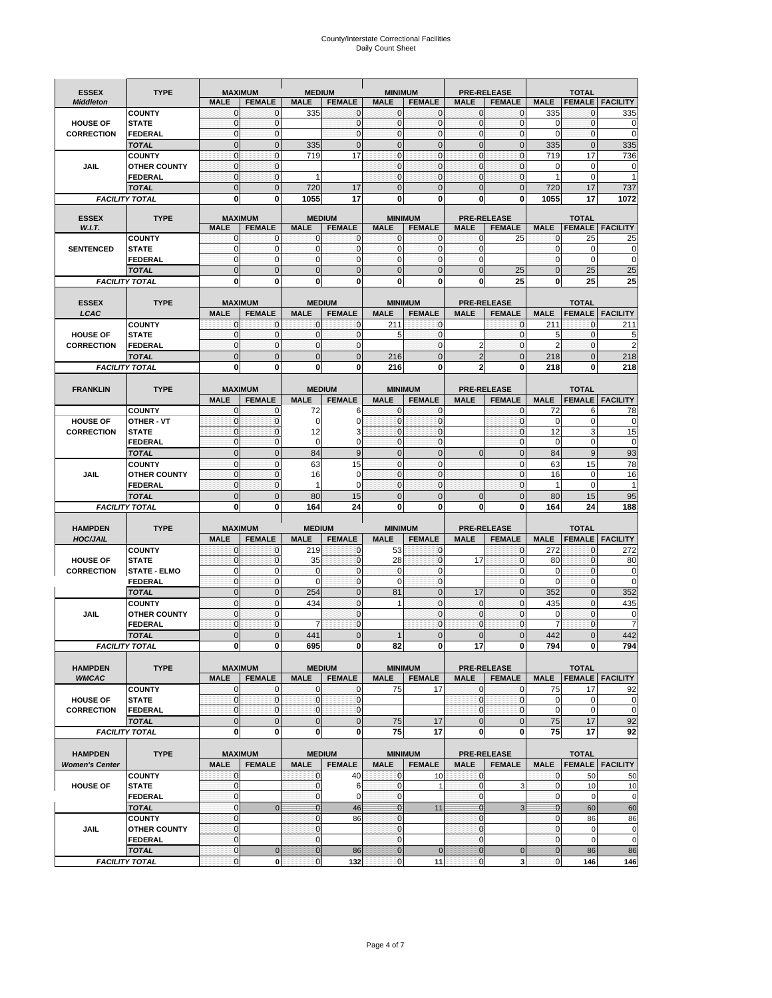# County/Interstate Correctional Facilities Daily Count Sheet

| <b>ESSEX</b><br><b>Middleton</b> | <b>TYPE</b>                          | <b>MAXIMUM</b><br><b>MALE</b> | <b>FEMALE</b>               | <b>MEDIUM</b><br><b>MALE</b> | <b>FEMALE</b>                  | <b>MINIMUM</b><br><b>MALE</b> | <b>FEMALE</b>                   | <b>MALE</b>                    | <b>PRE-RELEASE</b><br><b>FEMALE</b> | <b>MALE</b>       | <b>TOTAL</b>                  | <b>FEMALE   FACILITY</b> |
|----------------------------------|--------------------------------------|-------------------------------|-----------------------------|------------------------------|--------------------------------|-------------------------------|---------------------------------|--------------------------------|-------------------------------------|-------------------|-------------------------------|--------------------------|
|                                  | <b>COUNTY</b>                        | 0                             | $\Omega$                    | 335                          | $\mathbf 0$                    | $\mathbf{0}$                  | $\Omega$                        | $\mathbf{0}$                   | $\mathbf{0}$                        | 335               | 0                             | 335                      |
| <b>HOUSE OF</b>                  | <b>STATE</b>                         | $\mathbf 0$                   | $\mathbf{0}$                |                              | $\mathbf{0}$                   | $\mathbf{O}$                  | $\mathbf{0}$                    | $\mathbf{0}$                   | $\mathbf 0$                         | $\mathbf 0$       | $\mathbf 0$                   | $\mathbf 0$              |
| <b>CORRECTION</b>                | <b>FEDERAL</b>                       | $\mathbf 0$                   | $\Omega$                    |                              | $\Omega$                       | $\mathbf{0}$                  | $\Omega$                        | $\Omega$                       | $\mathbf 0$                         | 0                 | $\Omega$                      | $\mathbf 0$              |
|                                  | <b>TOTAL</b>                         | $\overline{0}$                | $\mathbf{0}$                | 335                          | $\mathbf{0}$                   | $\mathbf{0}$                  | $\overline{0}$                  | $\mathbf{0}$                   | $\overline{0}$                      | 335               | $\overline{0}$                | 335                      |
|                                  | <b>COUNTY</b>                        | $\mathbf 0$                   | $\mathbf{0}$                | 719                          | 17                             | $\mathbf{O}$                  | $\mathbf{0}$                    | $\mathbf{0}$                   | $\mathbf 0$                         | 719               | 17                            | 736                      |
| <b>JAIL</b>                      | <b>OTHER COUNTY</b>                  | $\mathbf 0$                   | $\mathbf{0}$                |                              |                                | $\mathbf{O}$                  | $\mathbf{0}$                    | $\overline{0}$                 | $\mathbf 0$                         | 0                 | 0                             | 0                        |
|                                  | <b>FEDERAL</b>                       | 0                             | $\mathbf{0}$                | $\mathbf{1}$                 |                                | $\mathbf{O}$                  | $\mathbf{0}$                    | $\mathbf{0}$                   | 0                                   | 1                 | 0                             | $\mathbf{1}$             |
|                                  | <b>TOTAL</b>                         | $\overline{0}$                | $\mathbf{0}$                | 720                          | 17                             | $\mathbf{0}$                  | $\overline{0}$                  | $\Omega$                       | $\overline{0}$                      | 720               | 17                            | 737                      |
|                                  | <b>FACILITY TOTAL</b>                | 0                             | 0                           | 1055                         | 17                             | $\mathbf 0$                   | $\bf{0}$                        | 0                              | $\bf{0}$                            | 1055              | 17                            | 1072                     |
| <b>ESSEX</b>                     | <b>TYPE</b>                          | <b>MAXIMUM</b>                |                             |                              | <b>MEDIUM</b>                  |                               | <b>MINIMUM</b>                  |                                | <b>PRE-RELEASE</b>                  |                   | <b>TOTAL</b>                  |                          |
| W.I.T.                           |                                      | <b>MALE</b>                   | <b>FEMALE</b>               | <b>MALE</b>                  | <b>FEMALE</b>                  | <b>MALE</b>                   | <b>FEMALE</b>                   | <b>MALE</b>                    | <b>FEMALE</b>                       | <b>MALE</b>       | <b>FEMALE</b>                 | <b>FACILITY</b>          |
|                                  | <b>COUNTY</b>                        | 0                             | $\mathbf{0}$                | 0                            | 0                              | 0                             | 0                               | $\mathbf{0}$                   | 25                                  | 0                 | 25                            | 25                       |
| <b>SENTENCED</b>                 | <b>STATE</b>                         | 0                             | $\mathbf 0$                 | $\mathbf 0$                  | $\mathbf{0}$                   | $\mathbf{0}$                  | $\mathbf 0$                     | $\mathbf{0}$                   |                                     | $\mathbf 0$       | 0                             | $\mathbf 0$              |
|                                  | <b>FEDERAL</b>                       | $\mathbf 0$                   | 0                           | $\mathbf 0$                  | $\bf{0}$                       | $\mathbf 0$                   | $\mathbf{0}$                    | $\mathbf{0}$                   |                                     | $\mathbf{0}$      | $\mathbf 0$                   | $\mathbf 0$              |
|                                  | <b>TOTAL</b>                         | $\overline{0}$                | $\mathbf{0}$                | $\overline{0}$               | $\mathbf{0}$                   | $\mathbf{0}$                  | $\overline{0}$                  | $\overline{0}$                 | 25                                  | $\overline{0}$    | 25                            | 25                       |
|                                  | <b>FACILITY TOTAL</b>                | O                             | 0                           | 0                            | $\bf{0}$                       | 0                             | 0                               | 0                              | 25                                  | 0                 | 25                            | 25                       |
| <b>ESSEX</b>                     | <b>TYPE</b>                          | <b>MAXIMUM</b>                |                             |                              | <b>MEDIUM</b>                  |                               | <b>MINIMUM</b>                  |                                | <b>PRE-RELEASE</b>                  |                   | <b>TOTAL</b>                  |                          |
| LCAC                             |                                      | <b>MALE</b>                   | <b>FEMALE</b>               | <b>MALE</b>                  | <b>FEMALE</b>                  | <b>MALE</b>                   | <b>FEMALE</b>                   | <b>MALE</b>                    | <b>FEMALE</b>                       | <b>MALE</b>       | <b>FEMALE</b>                 | <b>FACILITY</b>          |
|                                  | <b>COUNTY</b>                        | $\overline{0}$                | $\mathbf{0}$                | $\mathbf 0$                  | $\mathbf 0$                    | 211                           | $\mathbf 0$                     |                                | $\mathbf{0}$                        | 211               | 0                             | 211                      |
| <b>HOUSE OF</b>                  | <b>STATE</b>                         | 0                             | $\mathbf 0$                 | $\mathbf 0$                  | $\mathbf{0}$                   | 5                             | $\mathbf{0}$                    |                                | $\mathbf 0$                         | 5                 | $\mathbf 0$                   | 5                        |
| <b>CORRECTION</b>                | FEDERAL                              | $\mathbf 0$                   | $\mathbf{0}$                | $\mathbf{0}$                 | $\mathbf{0}$                   |                               | $\mathbf 0$                     | $\overline{2}$                 | $\mathbf{0}$                        | $\overline{2}$    | $\mathbf{0}$                  | $\overline{2}$           |
|                                  | <b>TOTAL</b>                         | $\overline{0}$                | $\overline{0}$              | $\overline{0}$               | $\mathbf 0$                    | 216                           | $\overline{0}$                  | $\overline{2}$                 | $\overline{0}$                      | 218               | $\overline{0}$                | 218                      |
|                                  | <b>FACILITY TOTAL</b>                | 0                             | 0                           | 0                            | 0                              | 216                           | 0                               | $\mathbf{2}$                   | 0                                   | 218               | 0                             | 218                      |
|                                  |                                      | <b>MAXIMUM</b>                |                             |                              |                                |                               |                                 |                                | <b>PRE-RELEASE</b>                  |                   |                               |                          |
| <b>FRANKLIN</b>                  | <b>TYPE</b>                          | <b>MALE</b>                   | <b>FEMALE</b>               | <b>MALE</b>                  | <b>MEDIUM</b><br><b>FEMALE</b> | <b>MALE</b>                   | <b>MINIMUM</b><br><b>FEMALE</b> | <b>MALE</b>                    | <b>FEMALE</b>                       | <b>MALE</b>       | <b>TOTAL</b><br><b>FEMALE</b> | <b>FACILITY</b>          |
|                                  | <b>COUNTY</b>                        | 0                             | $\mathbf 0$                 | 72                           | 6                              | $\mathbf{0}$                  | $\mathbf 0$                     |                                | $\mathbf 0$                         | 72                | 6                             | 78                       |
| <b>HOUSE OF</b>                  | <b>OTHER - VT</b>                    | $\mathbf 0$                   | $\mathbf{0}$                | $\mathbf 0$                  | 0                              | $\mathbf{O}$                  | $\mathbf{0}$                    |                                | $\mathbf{0}$                        | $\mathbf 0$       | 0                             | $\mathbf 0$              |
| <b>CORRECTION</b>                | <b>STATE</b>                         | $\mathbf 0$                   | $\mathbf{0}$                | 12                           | 3                              | $\mathbf{O}$                  | $\mathbf{0}$                    |                                | $\mathbf 0$                         | 12                | 3                             | 15                       |
|                                  | <b>FEDERAL</b>                       | $\mathbf 0$                   | $\mathbf{0}$                | $\mathbf 0$                  | 0                              | $\mathbf 0$                   | $\mathbf{0}$                    |                                | 0                                   | 0                 | 0                             | 0                        |
|                                  | <b>TOTAL</b>                         | $\overline{0}$                | $\mathbf{0}$                | 84                           | 9                              | $\mathbf{0}$                  | $\overline{0}$                  | $\overline{0}$                 | $\overline{0}$                      | 84                | 9                             | 93                       |
|                                  | <b>COUNTY</b>                        | $\mathbf 0$                   | $\mathbf 0$                 | 63                           | 15                             | $\mathbf{0}$                  | $\mathbf 0$                     |                                | $\mathbf 0$                         | 63                | 15                            | 78                       |
| <b>JAIL</b>                      | <b>OTHER COUNTY</b>                  | $\mathbf 0$                   | $\mathbf{0}$                | 16                           | 0                              | $\mathbf 0$                   | $\mathbf 0$                     |                                | $\mathbf 0$                         | 16                | $\mathbf 0$                   | 16                       |
|                                  | <b>FEDERAL</b>                       | $\mathbf 0$                   | $\mathbf 0$                 | 1                            | $\mathbf 0$                    | $\mathbf 0$                   | $\mathbf 0$                     |                                | $\mathbf 0$                         | 1                 | 0                             | $\mathbf{1}$             |
|                                  | <b>TOTAL</b>                         | $\overline{0}$                | $\mathbf{0}$                | 80                           | 15                             | $\mathbf{0}$                  | $\overline{0}$                  | $\mathbf{0}$                   | $\mathbf 0$                         | 80                | 15                            | 95                       |
|                                  | <b>FACILITY TOTAL</b>                | 0                             | $\bf{0}$                    | 164                          | 24                             | 0                             | 0                               | $\bf{0}$                       | 0                                   | 164               | 24                            | 188                      |
| <b>HAMPDEN</b>                   | <b>TYPE</b>                          | <b>MAXIMUM</b>                |                             | <b>MEDIUM</b>                |                                | <b>MINIMUM</b>                |                                 |                                | <b>PRE-RELEASE</b>                  |                   | <b>TOTAL</b>                  |                          |
| <b>HOC/JAIL</b>                  |                                      | <b>MALE</b>                   | <b>FEMALE</b>               | <b>MALE</b>                  | <b>FEMALE</b>                  | <b>MALE</b>                   | <b>FEMALE</b>                   | <b>MALE</b>                    | <b>FEMALE</b>                       | <b>MALE</b>       | <b>FEMALE</b>                 | <b>FACILITY</b>          |
|                                  | <b>COUNTY</b>                        | 0                             | $\mathbf{0}$                | 219                          | $\mathbf{0}$                   | 53                            | 0                               |                                | 0                                   | 272               | 0                             | 272                      |
| <b>HOUSE OF</b>                  | <b>STATE</b>                         | $\mathbf 0$                   | $\mathbf{0}$                | 35                           | $\mathbf{0}$                   | 28                            | $\mathbf{0}$                    | 17                             | $\mathbf 0$                         | 80                | $\mathbf{0}$                  | 80                       |
| <b>CORRECTION</b>                | <b>STATE - ELMO</b>                  | 0                             | $\mathbf 0$                 | $\mathbf{0}$                 | $\mathbf{0}$                   | $\mathbf 0$                   | $\mathbf 0$                     |                                | 0                                   | 0                 | $\mathbf{0}$                  | 0                        |
|                                  | <b>FEDERAL</b>                       | $\mathbf 0$                   | $\mathbf{0}$                | $\mathbf 0$                  | $\mathbf{0}$                   | $\mathbf 0$                   | $\mathbf{0}$                    |                                | $\mathbf 0$                         | $\mathbf 0$       | 0                             | 0                        |
|                                  | <b>TOTAL</b>                         | $\mathbf 0$<br>$\mathbf 0$    | $\mathbf 0$<br>$\mathbf{0}$ | 254<br>434                   | $\mathbf{0}$<br>$\mathbf{0}$   | 81<br>$\mathbf{1}$            | $\mathbf 0$<br>$\mathbf 0$      | 17                             | $\overline{0}$<br>0                 | 352               | $\overline{0}$<br>$\mathbf 0$ | 352                      |
| JAIL                             | <b>COUNTY</b><br><b>OTHER COUNTY</b> | $\mathbf 0$                   | $\Omega$                    |                              | $\mathbf{0}$                   |                               | $\Omega$                        | $\mathbf{0}$<br>$\mathbf{0}$   | $\mathbf{0}$                        | 435<br>0          | $\mathbf 0$                   | 435<br>0                 |
|                                  | <b>FEDERAL</b>                       | $\mathbf 0$                   | $\mathbf{0}$                | 7                            | $\mathbf 0$                    |                               | $\mathbf{0}$                    | $\mathbf{O}$                   | 0                                   | $\overline{7}$    | 0                             | $\overline{7}$           |
|                                  | <b>TOTAL</b>                         | $\overline{0}$                | $\Omega$                    | 441                          | $\overline{0}$                 | $\mathbf{1}$                  | $\Omega$                        | $\Omega$                       | $\overline{0}$                      | 442               | $\Omega$                      | 442                      |
|                                  | <b>FACILITY TOTAL</b>                | 0                             | 0                           | 695                          | 0                              | 82                            | $\mathbf{0}$                    | 17                             | 0                                   | 794               | 이                             | 794                      |
|                                  |                                      |                               |                             |                              |                                |                               |                                 |                                |                                     |                   |                               |                          |
| <b>HAMPDEN</b>                   | <b>TYPE</b>                          |                               | <b>MAXIMUM</b>              |                              | <b>MEDIUM</b>                  |                               | <b>MINIMUM</b>                  |                                | PRE-RELEASE                         |                   | <b>TOTAL</b>                  |                          |
| <b>WMCAC</b>                     |                                      | <b>MALE</b>                   | <b>FEMALE</b>               | <b>MALE</b>                  | <b>FEMALE</b>                  | <b>MALE</b>                   | <b>FEMALE</b>                   | <b>MALE</b>                    | <b>FEMALE</b>                       | <b>MALE</b>       |                               | <b>FEMALE   FACILITY</b> |
| <b>HOUSE OF</b>                  | <b>COUNTY</b><br><b>STATE</b>        | 0<br>0                        | $\mathbf 0$<br>$\mathbf 0$  | 0<br>$\mathbf 0$             | 0<br>$\mathbf 0$               | 75                            | 17                              | $\mathbf{0}$<br>$\mathbf{0}$   | 0<br>$\mathbf 0$                    | 75<br>$\mathbf 0$ | 17<br>0                       | 92<br>0                  |
| <b>CORRECTION</b>                | <b>FEDERAL</b>                       | $\overline{0}$                | $\mathbf{O}$                | $\mathbf 0$                  | $\mathbf 0$                    |                               |                                 | $\mathbf{0}$                   | $\mathbf 0$                         | $\mathbf 0$       | $\mathbf 0$                   | $\mathbf 0$              |
|                                  | <b>TOTAL</b>                         | $\mathbf 0$                   | $\mathbf 0$                 | $\mathbf 0$                  | $\mathbf 0$                    | 75                            | 17                              | $\mathbf{0}$                   | $\pmb{0}$                           | 75                | 17                            | 92                       |
|                                  | <b>FACILITY TOTAL</b>                | 0                             | $\mathbf 0$                 | 0                            | $\mathbf 0$                    | 75                            | 17                              | 0                              | 0                                   | 75                | 17                            | 92                       |
|                                  |                                      |                               |                             |                              |                                |                               |                                 |                                |                                     |                   |                               |                          |
| <b>HAMPDEN</b>                   | <b>TYPE</b>                          |                               | <b>MUMIXAM</b>              |                              | <b>MEDIUM</b>                  |                               | <b>MINIMUM</b>                  |                                | PRE-RELEASE                         |                   | <b>TOTAL</b>                  |                          |
| <b>Women's Center</b>            |                                      | <b>MALE</b>                   | <b>FEMALE</b>               | <b>MALE</b>                  | <b>FEMALE</b>                  | <b>MALE</b>                   | <b>FEMALE</b>                   | <b>MALE</b>                    | <b>FEMALE</b>                       | <b>MALE</b>       |                               | <b>FEMALE FACILITY</b>   |
|                                  | <b>COUNTY</b>                        | 0                             |                             | 0                            | 40                             | 0                             | 10                              | $\mathbf 0$                    |                                     | 0                 | 50                            | 50                       |
| <b>HOUSE OF</b>                  | <b>STATE</b>                         | 0                             |                             | $\pmb{0}$                    | 6                              | $\mathbf{O}$                  | $\overline{1}$                  | $\overline{0}$                 | $\mathsf 3$                         | $\overline{0}$    | 10                            | 10                       |
|                                  | <b>FEDERAL</b>                       | $\mathbf 0$                   |                             | $\mathbf 0$                  | $\mathbf 0$                    | $\overline{0}$                |                                 | $\mathbf{0}$                   |                                     | $\mathbf 0$       | 0                             | 0                        |
|                                  | <b>TOTAL</b>                         | 0                             | $\mathbf 0$                 | $\mathbf{0}$                 | 46                             | $\overline{0}$                | 11                              | $\overline{0}$                 | 3                                   | $\mathbf{0}$      | 60                            | 60                       |
| JAIL                             | <b>COUNTY</b><br><b>OTHER COUNTY</b> | 0<br>$\mathbf 0$              |                             | 0<br>0                       | 86                             | $\mathbf 0$<br>$\mathbf 0$    |                                 | $\mathbf{0}$<br>$\overline{0}$ |                                     | $\pmb{0}$<br>0    | 86<br>$\mathbf 0$             | 86<br>$\pmb{0}$          |
|                                  | <b>FEDERAL</b>                       | 0                             |                             | $\mathbf 0$                  |                                | $\mathbf 0$                   |                                 | $\mathbf{0}$                   |                                     | $\mathbf 0$       | $\pmb{0}$                     | $\mathbf 0$              |
|                                  | <b>TOTAL</b>                         | 0                             | $\mathbf 0$                 | $\mathbf{0}$                 | 86                             | $\mathbf{O}$                  | $\mathbf{0}$                    | $\overline{0}$                 | $\pmb{0}$                           | $\pmb{0}$         | 86                            | 86                       |
|                                  | <b>FACILITY TOTAL</b>                | 0                             | $\mathbf{0}$                | $\pmb{0}$                    | 132                            | $\mathbf{0}$                  | 11                              | $\mathbf{0}$                   | $\overline{\mathbf{3}}$             | $\mathbf 0$       | 146                           | 146                      |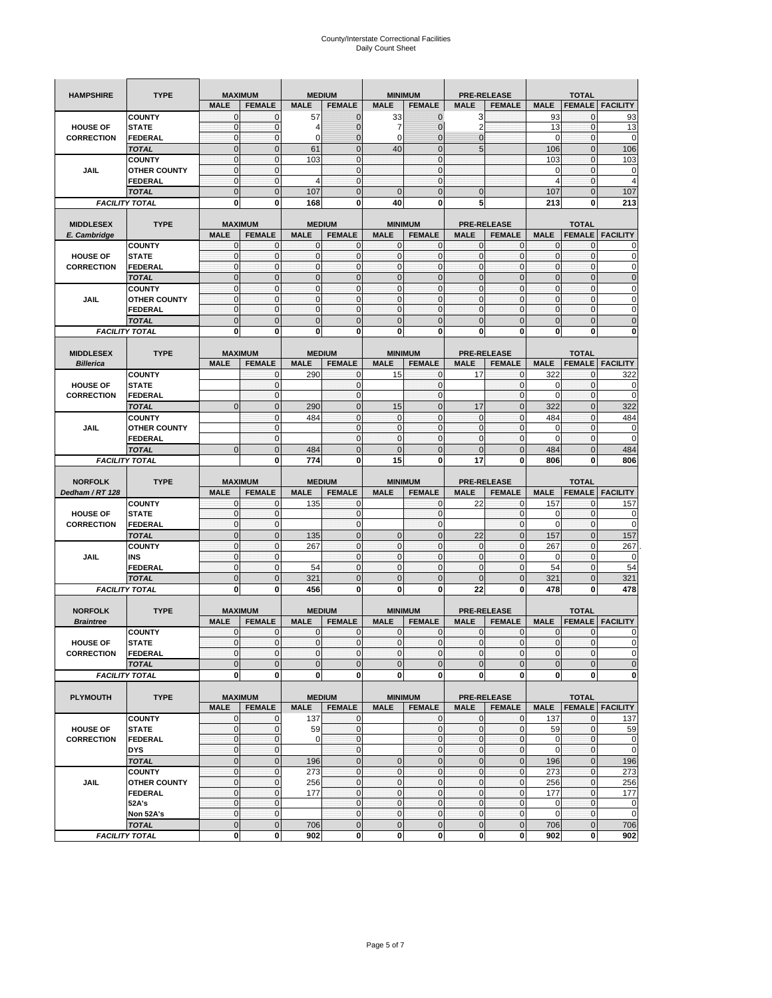|                   | <b>TYPE</b>                           |                              |                                 |                |                                |                            |                                  |                                   |                            |                  |                               |                        |
|-------------------|---------------------------------------|------------------------------|---------------------------------|----------------|--------------------------------|----------------------------|----------------------------------|-----------------------------------|----------------------------|------------------|-------------------------------|------------------------|
| <b>HAMPSHIRE</b>  |                                       | <b>MALE</b>                  | <b>MAXIMUM</b><br><b>FEMALE</b> | <b>MALE</b>    | <b>MEDIUM</b><br><b>FEMALE</b> | <b>MALE</b>                | <b>MINIMUM</b><br><b>FEMALE</b>  | <b>PRE-RELEASE</b><br><b>MALE</b> | <b>FEMALE</b>              | <b>MALE</b>      | <b>TOTAL</b><br><b>FEMALE</b> | <b>FACILITY</b>        |
|                   | <b>COUNTY</b>                         | $\mathbf{0}$                 | 0                               | 57             | $\mathbf{0}$                   | 33                         | $\mathbf{0}$                     | 3                                 |                            | 93               | 0                             | 93                     |
| <b>HOUSE OF</b>   | <b>STATE</b>                          | $\mathbf{0}$                 | $\mathbf{0}$                    | 4              | $\mathbf{0}$                   | 7                          | $\overline{0}$                   | 2                                 |                            | 13               | $\pmb{0}$                     | 13                     |
| <b>CORRECTION</b> | <b>FEDERAL</b>                        | $\bf 0$                      | $\mathbf 0$                     | $\mathbf 0$    | $\mathbf{0}$                   | $\mathbf 0$                | $\mathbf{0}$                     | $\mathbf{0}$                      |                            | 0                | $\pmb{0}$                     | $\mathbf 0$            |
|                   | <b>TOTAL</b>                          | $\mathbf{0}$                 | $\overline{0}$                  | 61             | $\mathbf{0}$                   | 40                         | $\mathbf{0}$                     | 5                                 |                            | 106              | $\mathbf{0}$                  | 106                    |
|                   | <b>COUNTY</b>                         | $\mathbf{0}$                 | $\mathbf{0}$                    | 103            | $\mathbf{0}$                   |                            | $\mathbf{0}$                     |                                   |                            | 103              | $\mathbf 0$                   | 103                    |
| JAIL              | <b>OTHER COUNTY</b>                   | $\pmb{0}$                    | $\mathbf 0$                     |                | $\mathbf 0$                    |                            | $\mathbf{0}$                     |                                   |                            | 0                | 0                             | 0                      |
|                   | <b>FEDERAL</b>                        | $\mathbf{0}$                 | $\mathbf{0}$                    | 4              | $\mathbf 0$                    |                            | $\overline{0}$                   |                                   |                            | 4                | $\mathbf{0}$                  | $\overline{4}$         |
|                   | <b>TOTAL</b>                          | $\mathbf{0}$                 | $\overline{0}$                  | 107            | $\mathbf 0$                    | $\overline{0}$             | $\overline{0}$                   | $\mathbf{0}$                      |                            | 107              | $\mathbf 0$                   | 107                    |
|                   | <b>FACILITY TOTAL</b>                 | 0                            | 0                               | 168            | 0                              | 40                         | 0                                | 5                                 |                            | 213              | 0                             | 213                    |
|                   |                                       |                              |                                 |                |                                |                            |                                  |                                   |                            |                  |                               |                        |
| <b>MIDDLESEX</b>  | <b>TYPE</b>                           | <b>MALE</b>                  | <b>MAXIMUM</b><br><b>FEMALE</b> | <b>MALE</b>    | <b>MEDIUM</b><br><b>FEMALE</b> | <b>MALE</b>                | <b>MINIMUM</b><br><b>FEMALE</b>  | <b>PRE-RELEASE</b><br><b>MALE</b> | <b>FEMALE</b>              | <b>MALE</b>      | <b>TOTAL</b><br><b>FEMALE</b> | <b>FACILITY</b>        |
| E. Cambridge      | <b>COUNTY</b>                         | 0                            | $\mathbf 0$                     | $\Omega$       | 0                              | $\mathbf 0$                | $\mathbf{0}$                     | 0                                 | 0                          | 0                | 0                             | 0                      |
| <b>HOUSE OF</b>   | <b>STATE</b>                          | $\pmb{0}$                    | $\mathbf{0}$                    | $\mathbf{0}$   | 0                              | $\bf 0$                    | $\overline{0}$                   | $\mathbf{0}$                      | $\mathbf 0$                | $\pmb{0}$        | $\pmb{0}$                     | 0                      |
| <b>CORRECTION</b> | <b>FEDERAL</b>                        | $\mathbf{0}$                 | 0                               | $\mathbf{0}$   | $\mathbf 0$                    | $\mathbf{0}$               | $\mathbf{0}$                     | $\mathbf 0$                       | $\mathbf 0$                | $\pmb{0}$        | $\mathbf 0$                   | 0                      |
|                   | <b>TOTAL</b>                          | $\mathbf{0}$                 | $\mathbf 0$                     | $\mathbf{0}$   | $\mathbf 0$                    | $\mathbf 0$                | $\mathbf{0}$                     | $\mathbf 0$                       | $\overline{0}$             | $\pmb{0}$        | $\mathbf 0$                   | $\mathbf 0$            |
|                   | <b>COUNTY</b>                         | $\mathbf{0}$                 | $\mathbf{0}$                    | $\mathbf{0}$   | $\mathbf{0}$                   | $\mathbf{0}$               | $\mathbf{0}$                     | $\mathbf{0}$                      | $\mathbf 0$                | $\mathbf{0}$     | $\mathbf 0$                   | 0                      |
| <b>JAIL</b>       | <b>OTHER COUNTY</b>                   | $\pmb{0}$                    | $\mathbf 0$                     | $\mathbf{0}$   | $\mathbf 0$                    | $\mathbf{0}$               | $\mathbf{0}$                     | $\mathbf 0$                       | $\mathbf 0$                | $\pmb{0}$        | 0                             | 0                      |
|                   | <b>FEDERAL</b>                        | $\mathbf{0}$                 | $\mathbf 0$                     | $\mathbf 0$    | $\mathbf 0$                    | $\mathbf 0$                | $\overline{0}$                   | $\mathbf{0}$                      | $\mathbf 0$                | $\mathbf{0}$     | $\mathbf{0}$                  | 0                      |
|                   | <b>TOTAL</b>                          | $\mathbf{0}$                 | $\overline{0}$                  | $\overline{0}$ | $\overline{0}$                 | $\overline{0}$             | $\overline{0}$                   | $\overline{0}$                    | $\overline{0}$             | $\mathbf{0}$     | $\mathbf 0$                   | $\overline{0}$         |
|                   | <b>FACILITY TOTAL</b>                 | 0                            | 0                               | 0              | 0                              | 0                          | $\mathbf{0}$                     | 0                                 | 0                          | 0                | 0                             | 0                      |
|                   |                                       |                              |                                 |                |                                |                            |                                  |                                   |                            |                  |                               |                        |
| <b>MIDDLESEX</b>  | <b>TYPE</b>                           |                              | <b>MAXIMUM</b>                  |                | <b>MEDIUM</b>                  |                            | <b>MINIMUM</b>                   |                                   | <b>PRE-RELEASE</b>         |                  | <b>TOTAL</b>                  |                        |
| <b>Billerica</b>  |                                       | <b>MALE</b>                  | <b>FEMALE</b>                   | <b>MALE</b>    | <b>FEMALE</b>                  | <b>MALE</b>                | <b>FEMALE</b>                    | <b>MALE</b>                       | <b>FEMALE</b>              | <b>MALE</b>      | <b>FEMALE</b>                 | <b>FACILITY</b>        |
| <b>HOUSE OF</b>   | <b>COUNTY</b><br><b>STATE</b>         |                              | 0<br>$\mathbf 0$                | 290            | 0<br>0                         | 15                         | $\mathbf{0}$<br>$\mathbf{0}$     | 17                                | $\mathbf 0$<br>$\mathbf 0$ | 322<br>0         | 0<br>$\mathbf 0$              | 322<br>0               |
| <b>CORRECTION</b> | FEDERAL                               |                              | 0                               |                | $\mathbf 0$                    |                            | $\mathbf{0}$                     |                                   | $\mathbf 0$                | 0                | 0                             | $\mathbf 0$            |
|                   | <b>TOTAL</b>                          | $\mathbf 0$                  | $\mathbf{0}$                    | 290            | $\mathbf 0$                    | 15                         | $\mathbf 0$                      | 17                                | $\mathbf 0$                | 322              | $\mathbf 0$                   | 322                    |
|                   | <b>COUNTY</b>                         |                              | $\mathbf 0$                     | 484            | $\mathbf 0$                    | $\mathbf{0}$               | $\mathbf{0}$                     | 0                                 | $\mathbf 0$                | 484              | $\mathbf{0}$                  | 484                    |
| JAIL              | <b>OTHER COUNTY</b>                   |                              | $\mathbf{0}$                    |                | $\mathbf 0$                    | $\bf 0$                    | $\mathbf{0}$                     | $\mathbf 0$                       | $\mathbf 0$                | 0                | 0                             | 0                      |
|                   | <b>FEDERAL</b>                        |                              | $\mathbf 0$                     |                | $\mathbf{0}$                   | $\mathbf 0$                | $\overline{0}$                   | $\mathbf{0}$                      | $\mathbf 0$                | $\Omega$         | $\mathbf{0}$                  | $\Omega$               |
|                   | <b>TOTAL</b>                          | $\mathbf{0}$                 | $\overline{0}$                  | 484            | $\overline{0}$                 | $\overline{0}$             | $\overline{0}$                   | $\overline{0}$                    | $\overline{0}$             | 484              | $\overline{0}$                | 484                    |
|                   | <b>FACILITY TOTAL</b>                 |                              | 0                               | 774            | 0                              | 15                         | $\mathbf 0$                      | 17                                | 0                          | 806              | 0                             | 806                    |
|                   |                                       |                              |                                 |                |                                |                            |                                  |                                   |                            |                  |                               |                        |
| <b>NORFOLK</b>    | <b>TYPE</b>                           |                              | <b>MAXIMUM</b>                  |                | <b>MEDIUM</b>                  |                            | <b>MINIMUM</b>                   | <b>PRE-RELEASE</b>                |                            |                  | <b>TOTAL</b>                  |                        |
| Dedham / RT 128   |                                       | <b>MALE</b>                  | <b>FEMALE</b>                   | <b>MALE</b>    | <b>FEMALE</b>                  | <b>MALE</b>                | <b>FEMALE</b>                    | <b>MALE</b>                       | <b>FEMALE</b>              | <b>MALE</b>      | <b>FEMALE</b>                 | <b>FACILITY</b>        |
|                   | <b>COUNTY</b>                         | $\mathbf{0}$                 | $\mathbf{0}$                    | 135            | $\mathbf{0}$                   |                            | $\mathbf{0}$                     | 22                                | $\mathbf{0}$               | 157              | 0                             | 157                    |
| <b>HOUSE OF</b>   | <b>STATE</b>                          | $\mathbf{0}$<br>$\mathbf{0}$ | $\mathbf 0$                     |                | 0                              |                            | $\overline{0}$<br>$\overline{0}$ |                                   | $\mathbf 0$                | 0<br>$\mathbf 0$ | $\pmb{0}$                     | 0<br>$\mathbf 0$       |
| <b>CORRECTION</b> | FEDERAL<br><b>TOTAL</b>               | $\pmb{0}$                    | $\mathbf{0}$<br>$\mathbf 0$     |                | $\mathbf 0$<br>$\mathbf 0$     | $\mathbf 0$                | $\mathbf 0$                      | 22                                | $\mathbf 0$<br>$\mathbf 0$ | 157              | $\mathbf 0$<br>$\pmb{0}$      | 157                    |
|                   | <b>COUNTY</b>                         | $\pmb{0}$                    | $\mathbf 0$                     | 135<br>267     | $\mathbf 0$                    | $\mathbf{0}$               | $\mathbf{0}$                     | $\mathbf{0}$                      | $\mathbf 0$                | 267              | $\mathbf 0$                   | 267                    |
| <b>JAIL</b>       | <b>INS</b>                            | $\mathbf{0}$                 | $\mathbf 0$                     |                | $\mathbf{0}$                   | $\mathbf 0$                | $\mathbf{0}$                     | $\mathbf 0$                       | $\mathbf 0$                | 0                | $\mathbf 0$                   | 0                      |
|                   | FEDERAL                               | $\pmb{0}$                    | $\mathbf 0$                     | 54             | $\mathbf 0$                    | $\mathbf{0}$               | $\mathbf{0}$                     | $\mathbf 0$                       | $\mathbf 0$                | 54               | 0                             | 54                     |
|                   | <b>TOTAL</b>                          | $\mathbf{0}$                 | $\overline{0}$                  | 321            | $\mathbf 0$                    | $\overline{0}$             | $\overline{0}$                   | $\mathbf{0}$                      | $\overline{0}$             | 321              | $\mathbf{0}$                  | 321                    |
|                   | <b>FACILITY TOTAL</b>                 | $\mathbf 0$                  | $\mathbf 0$                     | 456            | 0                              | 0                          | $\mathbf{0}$                     | 22                                | 0                          | 478              | 0                             | 478                    |
|                   |                                       |                              |                                 |                |                                |                            |                                  |                                   |                            |                  |                               |                        |
| <b>NORFOLK</b>    | <b>TYPE</b>                           |                              | <b>MAXIMUM</b>                  |                | <b>MEDIUM</b>                  |                            | <b>MINIMUM</b>                   | <b>PRE-RELEASE</b>                |                            |                  | <b>TOTAL</b>                  |                        |
| <b>Braintree</b>  |                                       | <b>MALE</b>                  | <b>FEMALE</b>                   | <b>MALE</b>    | <b>FEMALE</b>                  | <b>MALE</b>                | <b>FEMALE</b>                    | <b>MALE</b>                       | <b>FEMALE</b>              | <b>MALE</b>      | <b>FEMALE</b>                 | <b>FACILITY</b>        |
|                   | <b>COUNTY</b>                         | $\mathbf{0}$                 | $\mathbf{0}$                    | $\mathbf 0$    | 0                              | 0                          | $\mathbf{0}$                     | 0                                 | $\mathbf{0}$               | $\mathbf 0$      | 0                             | 0                      |
| <b>HOUSE OF</b>   | <b>STATE</b>                          | $\Omega$                     | $\Omega$                        | $\Omega$       | $\overline{0}$                 | $\mathbf{0}$               | $\Omega$                         | $\mathbf{0}$                      | $\Omega$                   | $\Omega$         | $\Omega$                      | $\overline{0}$         |
| <b>CORRECTION</b> | FEDERAL                               | $\mathbf 0$                  | 0                               | $\mathbf 0$    | $\pmb{0}$                      | $\bf 0$                    | $\overline{0}$                   | $\pmb{0}$                         | 0                          | $\mathbf 0$      | $\mathbf 0$                   | $\mathbf 0$            |
|                   | <b>TOTAL</b>                          | $\mathbf 0$                  | $\mathbf 0$                     | $\mathbf{0}$   | $\mathbf 0$                    | $\mathbf 0$                | $\mathbf{0}$                     | $\mathbf 0$                       | $\mathbf 0$                | $\mathbf 0$      | $\mathbf 0$                   | $\mathbf 0$            |
|                   | <b>FACILITY TOTAL</b>                 | $\mathbf 0$                  | 0                               | $\bf{0}$       | 0                              | $\mathbf 0$                | <sub>0</sub>                     | 0                                 | 0                          | $\mathbf 0$      | $\mathbf 0$                   | $\mathbf{0}$           |
| <b>PLYMOUTH</b>   | <b>TYPE</b>                           |                              | <b>MAXIMUM</b>                  |                | <b>MEDIUM</b>                  |                            | <b>MINIMUM</b>                   |                                   | <b>PRE-RELEASE</b>         |                  | <b>TOTAL</b>                  |                        |
|                   |                                       | <b>MALE</b>                  | <b>FEMALE</b>                   | <b>MALE</b>    | <b>FEMALE</b>                  | <b>MALE</b>                | <b>FEMALE</b>                    | <b>MALE</b>                       | <b>FEMALE</b>              | <b>MALE</b>      |                               | <b>FEMALE FACILITY</b> |
|                   | <b>COUNTY</b>                         | $\mathbf 0$                  | 0                               | 137            | 0                              |                            | $\overline{0}$                   | $\mathbf 0$                       | 0                          | 137              | $\mathbf{0}$                  | 137                    |
|                   |                                       |                              | 0                               | 59             | $\mathbf 0$                    |                            | $\overline{0}$                   | $\mathbf 0$                       | 0                          | 59               | $\mathbf 0$                   | 59                     |
| <b>HOUSE OF</b>   | <b>STATE</b>                          | $\mathbf{0}$                 |                                 |                |                                |                            |                                  |                                   |                            | $\mathbf 0$      |                               | $\mathbf 0$            |
| <b>CORRECTION</b> | <b>FEDERAL</b>                        | $\pmb{0}$                    | $\mathbf 0$                     | $\mathbf 0$    | $\bf{0}$                       |                            | $\overline{0}$                   | $\pmb{0}$                         | $\mathbf 0$                |                  | $\mathbf{0}$                  |                        |
|                   | <b>DYS</b>                            | $\mathbf{0}$                 | $\mathbf{0}$                    |                | $\mathbf{0}$                   |                            | $\overline{0}$                   | $\mathbf 0$                       | $\mathbf{0}$               | $\mathbf 0$      | $\mathbf{O}$                  | $\mathbf 0$            |
|                   | <b>TOTAL</b>                          | $\mathbf 0$                  | $\bf 0$                         | 196            | $\pmb{0}$                      | $\mathbf 0$                | $\overline{0}$                   | $\mathbf{0}$                      | $\pmb{0}$                  | 196              | $\mathbf{0}$                  | 196                    |
|                   | <b>COUNTY</b>                         | $\mathbf{0}$                 | $\mathbf 0$                     | 273            | $\mathbf{0}$                   | $\mathbf 0$                | $\overline{0}$                   | $\mathbf{0}$                      | $\mathbf 0$                | 273              | $\mathbf 0$                   | 273                    |
| <b>JAIL</b>       | <b>OTHER COUNTY</b>                   | $\mathbf{0}$                 | $\mathbf 0$                     | 256            | $\mathbf 0$                    | $\mathbf{0}$               | $\overline{0}$                   | $\mathbf{0}$                      | 0                          | 256              | $\mathbf 0$                   | 256                    |
|                   | <b>FEDERAL</b>                        | $\pmb{0}$                    | $\mathbf 0$                     | 177            | $\mathbf 0$                    | $\mathbf 0$                | $\overline{0}$                   | $\mathbf{0}$                      | 0                          | 177              | $\mathbf 0$                   | 177                    |
|                   | 52A's                                 | $\mathbf{0}$                 | $\mathbf{0}$                    |                | $\mathbf 0$                    | $\mathbf 0$                | $\overline{0}$                   | $\mathbf{0}$                      | $\mathbf{0}$               | $\mathbf 0$      | $\mathbf{0}$                  | $\mathbf 0$            |
|                   | Non 52A's                             | $\mathbf 0$                  | $\mathbf 0$                     |                | $\pmb{0}$                      | $\mathbf 0$                | $\overline{0}$                   | $\mathbf 0$                       | 0                          | $\mathbf{0}$     | $\overline{0}$                | $\mathbf 0$            |
|                   | <b>TOTAL</b><br><b>FACILITY TOTAL</b> | $\mathbf 0$<br>0             | $\mathbf 0$<br>0                | 706<br>902     | $\mathbf 0$<br>0               | $\mathbf 0$<br>$\mathbf 0$ | $\mathbf 0$<br>$\mathbf{0}$      | $\mathbf 0$<br>0                  | $\mathbf 0$<br>0           | 706<br>902       | $\mathbf 0$<br>0              | 706<br>902             |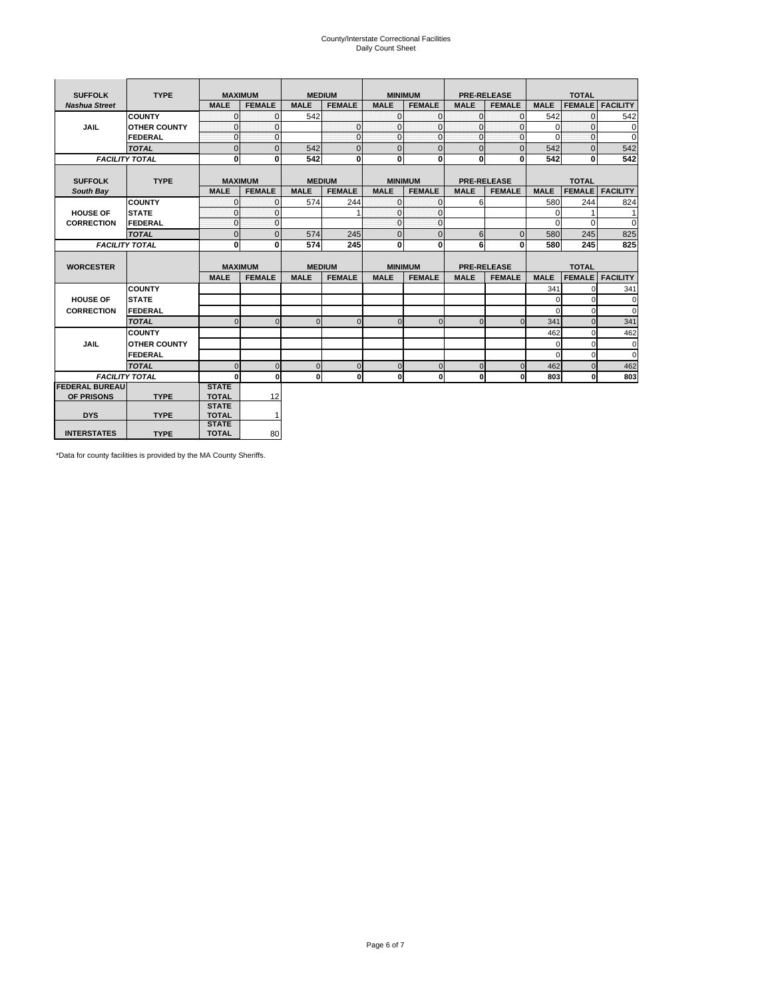# County/Interstate Correctional Facilities Daily Count Sheet

| <b>SUFFOLK</b>        | <b>TYPE</b>           | <b>MAXIMUM</b>               |                |             | <b>MEDIUM</b>  |                | <b>MINIMUM</b> |                    | <b>PRE-RELEASE</b> |                | <b>TOTAL</b>  |                        |
|-----------------------|-----------------------|------------------------------|----------------|-------------|----------------|----------------|----------------|--------------------|--------------------|----------------|---------------|------------------------|
| <b>Nashua Street</b>  |                       | <b>MALE</b>                  | <b>FEMALE</b>  | <b>MALE</b> | <b>FEMALE</b>  | <b>MALE</b>    | <b>FEMALE</b>  | <b>MALE</b>        | <b>FEMALE</b>      | <b>MALE</b>    | <b>FEMALE</b> | <b>FACILITY</b>        |
|                       | <b>COUNTY</b>         | $\Omega$                     | $\mathbf{0}$   | 542         |                | $\mathbf 0$    | $\Omega$       | $\mathbf{0}$       | $\Omega$           | 542            | $\Omega$      | 542                    |
| <b>JAIL</b>           | <b>OTHER COUNTY</b>   | $\Omega$                     | $\mathbf{0}$   |             | $\mathbf{0}$   | $\mathbf 0$    | $\Omega$       | $\mathbf{0}$       | $\Omega$           | $\overline{0}$ | $\Omega$      | 0                      |
|                       | <b>FEDERAL</b>        | $\Omega$                     | $\mathbf{0}$   |             | $\mathbf{0}$   | $\mathbf{0}$   | $\Omega$       | $\Omega$           | $\Omega$           | $\Omega$       | $\Omega$      | $\Omega$               |
|                       | <b>TOTAL</b>          | $\mathbf{0}$                 | $\overline{0}$ | 542         | $\overline{0}$ | $\mathbf 0$    | $\overline{0}$ | $\overline{0}$     | $\overline{0}$     | 542            | $\mathbf{0}$  | 542                    |
|                       | <b>FACILITY TOTAL</b> | $\mathbf{0}$                 | $\mathbf{0}$   | 542         | $\bf{0}$       | 0              | $\mathbf{0}$   | $\mathbf{0}$       | $\bf{0}$           | 542            | 0             | 542                    |
|                       |                       |                              |                |             |                |                |                |                    |                    |                |               |                        |
| <b>SUFFOLK</b>        | <b>TYPE</b>           | <b>MAXIMUM</b>               |                |             | <b>MEDIUM</b>  |                | <b>MINIMUM</b> | <b>PRE-RELEASE</b> |                    |                | <b>TOTAL</b>  |                        |
| South Bay             |                       | <b>MALE</b>                  | <b>FEMALE</b>  | <b>MALE</b> | <b>FEMALE</b>  | <b>MALE</b>    | <b>FEMALE</b>  | <b>MALE</b>        | <b>FEMALE</b>      | <b>MALE</b>    | <b>FEMALE</b> | <b>FACILITY</b>        |
|                       | <b>COUNTY</b>         | $\Omega$                     | $\mathbf{0}$   | 574         | 244            | $\mathbf 0$    | $\Omega$       | 6                  |                    | 580            | 244           | 824                    |
| <b>HOUSE OF</b>       | <b>STATE</b>          | $\Omega$                     | $\mathbf{0}$   |             | 1              | $\Omega$       | $\Omega$       |                    |                    | $\mathbf{0}$   |               | 1                      |
| <b>CORRECTION</b>     | FEDERAL               | $\mathbf{0}$                 | $\mathbf{0}$   |             |                | $\mathbf{0}$   | $\Omega$       |                    |                    | $\Omega$       | $\Omega$      | $\mathbf 0$            |
|                       | <b>TOTAL</b>          | $\mathbf{0}$                 | $\overline{0}$ | 574         | 245            | $\overline{0}$ | $\mathbf{0}$   | 6                  | $\mathbf{0}$       | 580            | 245           | 825                    |
|                       | <b>FACILITY TOTAL</b> | $\Omega$                     | 0              | 574         | 245            | 0              | 0              | 6                  | 0                  | 580            | 245           | 825                    |
| <b>WORCESTER</b>      |                       | <b>MAXIMUM</b>               |                |             | <b>MEDIUM</b>  |                | <b>MINIMUM</b> | <b>PRE-RELEASE</b> |                    |                | <b>TOTAL</b>  |                        |
|                       |                       | <b>MALE</b>                  | <b>FEMALE</b>  | <b>MALE</b> | <b>FEMALE</b>  | <b>MALE</b>    | <b>FEMALE</b>  | <b>MALE</b>        | <b>FEMALE</b>      | <b>MALE</b>    |               | <b>FEMALE FACILITY</b> |
|                       | <b>COUNTY</b>         |                              |                |             |                |                |                |                    |                    | 341            |               | 341                    |
| <b>HOUSE OF</b>       | <b>STATE</b>          |                              |                |             |                |                |                |                    |                    | $\Omega$       | O             | $\Omega$               |
|                       |                       |                              |                |             |                |                |                |                    |                    |                |               |                        |
| <b>CORRECTION</b>     | FEDERAL               |                              |                |             |                |                |                |                    |                    | $\Omega$       | $\Omega$      | $\Omega$               |
|                       | <b>TOTAL</b>          | $\Omega$                     | $\Omega$       | $\Omega$    | $\Omega$       | $\Omega$       | $\Omega$       | $\Omega$           | $\Omega$           | 341            | $\Omega$      | 341                    |
|                       | <b>COUNTY</b>         |                              |                |             |                |                |                |                    |                    | 462            | $\Omega$      | 462                    |
| <b>JAIL</b>           | <b>OTHER COUNTY</b>   |                              |                |             |                |                |                |                    |                    | 0              | $\Omega$      | $\mathbf 0$            |
|                       | FEDERAL               |                              |                |             |                |                |                |                    |                    | $\Omega$       | $\Omega$      | $\mathbf 0$            |
|                       | <b>TOTAL</b>          | $\Omega$                     | $\mathbf 0$    | $\mathbf 0$ | $\Omega$       | $\mathbf 0$    | $\Omega$       | $\Omega$           | $\Omega$           | 462            | $\Omega$      | 462                    |
|                       | <b>FACILITY TOTAL</b> | 0                            | $\mathbf{0}$   | $\mathbf 0$ | 0              | $\mathbf{0}$   | 0              | $\mathbf{0}$       | $\Omega$           | 803            | $\bf{0}$      | 803                    |
| <b>FEDERAL BUREAU</b> |                       | <b>STATE</b>                 |                |             |                |                |                |                    |                    |                |               |                        |
| OF PRISONS            | <b>TYPE</b>           | <b>TOTAL</b>                 | 12             |             |                |                |                |                    |                    |                |               |                        |
|                       |                       | <b>STATE</b>                 |                |             |                |                |                |                    |                    |                |               |                        |
| <b>DYS</b>            | <b>TYPE</b>           | <b>TOTAL</b>                 | 1              |             |                |                |                |                    |                    |                |               |                        |
| <b>INTERSTATES</b>    | <b>TYPE</b>           | <b>STATE</b><br><b>TOTAL</b> | 80             |             |                |                |                |                    |                    |                |               |                        |

\*Data for county facilities is provided by the MA County Sheriffs.